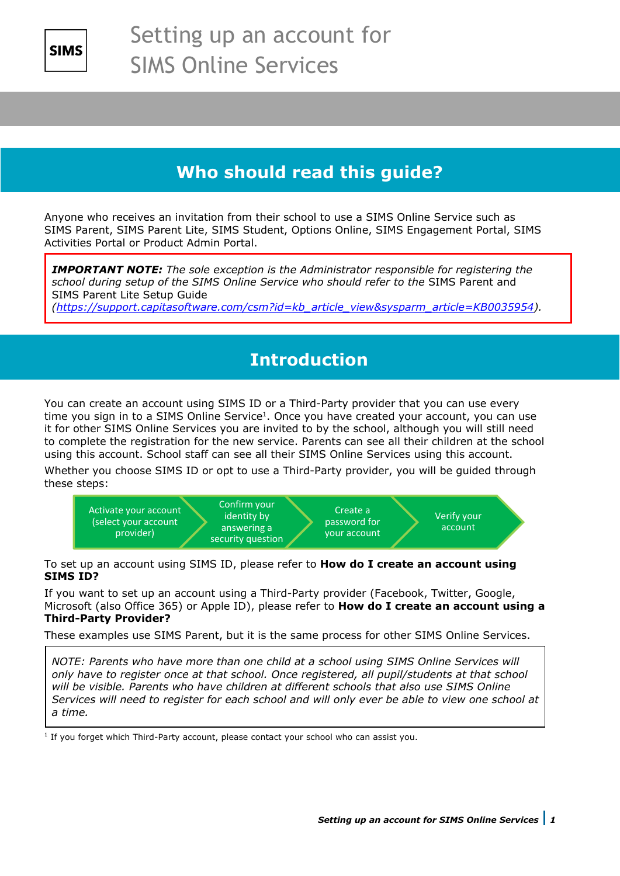

## **Who should read this guide?**

Anyone who receives an invitation from their school to use a SIMS Online Service such as SIMS Parent, SIMS Parent Lite, SIMS Student, Options Online, SIMS Engagement Portal, SIMS Activities Portal or Product Admin Portal.

*IMPORTANT NOTE: The sole exception is the Administrator responsible for registering the school during setup of the SIMS Online Service who should refer to the* SIMS Parent and SIMS Parent Lite Setup Guide

*[\(https://support.capitasoftware.com/csm?id=kb\\_article\\_view&sysparm\\_article=KB0035954\)](https://support.capitasoftware.com/csm?id=kb_article_view&sysparm_article=KB0035954).*

## **Introduction**

You can create an account using SIMS ID or a Third-Party provider that you can use every time you sign in to a SIMS Online Service1. Once you have created your account, you can use it for other SIMS Online Services you are invited to by the school, although you will still need to complete the registration for the new service. Parents can see all their children at the school using this account. School staff can see all their SIMS Online Services using this account.

Whether you choose SIMS ID or opt to use a Third-Party provider, you will be guided through these steps:



To set up an account using SIMS ID, please refer to **How do I create an account using SIMS ID?**

If you want to set up an account using a Third-Party provider (Facebook, Twitter, Google, Microsoft (also Office 365) or Apple ID), please refer to **How do I create an account using a Third-Party Provider?**

These examples use SIMS Parent, but it is the same process for other SIMS Online Services.

*NOTE: Parents who have more than one child at a school using SIMS Online Services will only have to register once at that school. Once registered, all pupil/students at that school will be visible. Parents who have children at different schools that also use SIMS Online Services will need to register for each school and will only ever be able to view one school at a time.*

<sup>1</sup> If you forget which Third-Party account, please contact your school who can assist you.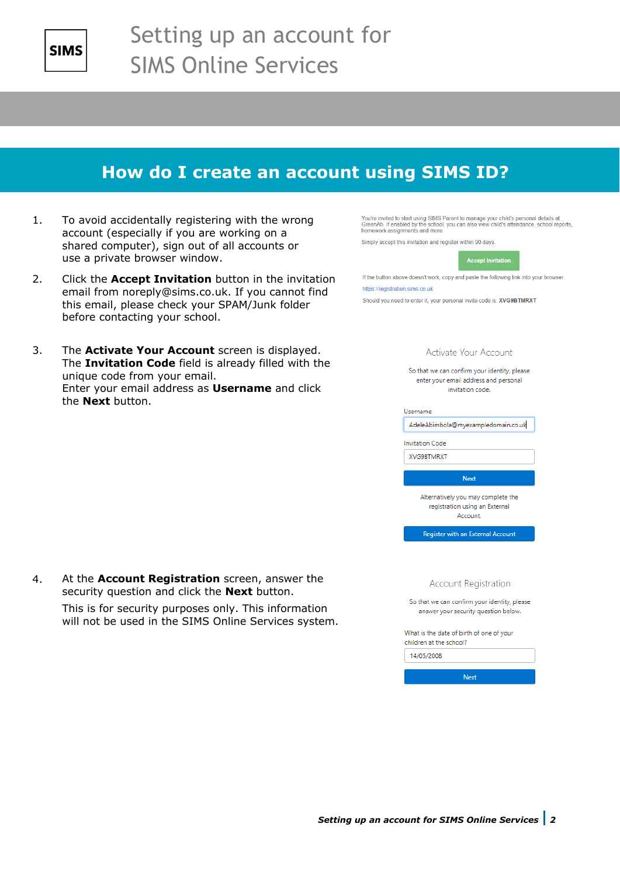

## **How do I create an account using SIMS ID?**

- 1. To avoid accidentally registering with the wrong account (especially if you are working on a shared computer), sign out of all accounts or use a private browser window.
- 2. Click the **Accept Invitation** button in the invitation email from noreply@sims.co.uk. If you cannot find this email, please check your SPAM/Junk folder before contacting your school.

3. The **Activate Your Account** screen is displayed.

unique code from your email.

the **Next** button.

The **Invitation Code** field is already filled with the

Enter your email address as **Username** and click

You're invited to start using SIMS Parent to manage your child's personal details at GreenAb. If enabled by the school, you can also view child's attendance, school reports, homework assignments and more.

Simply accept this invitation and register within 90 days.



If the button above doesn't work, copy and paste the following link into your browser. https://registration.sims.co.uk

Should you need to enter it, your personal invite code is: XVG9BTMRXT

#### Activate Your Account

So that we can confirm your identity, please enter your email address and personal invitation code.

Username

AdeleAbimbola@myexampledomain.co.uk

**Invitation Code** 

XVG9BTMRXT

Next

Alternatively you may complete the registration using an External Account.

Register with an External Account

**Account Registration** 

So that we can confirm your identity, please answer your security question below.

Next

What is the date of birth of one of your children at the school?

14/05/2008

4. At the **Account Registration** screen, answer the security question and click the **Next** button.

> This is for security purposes only. This information will not be used in the SIMS Online Services system.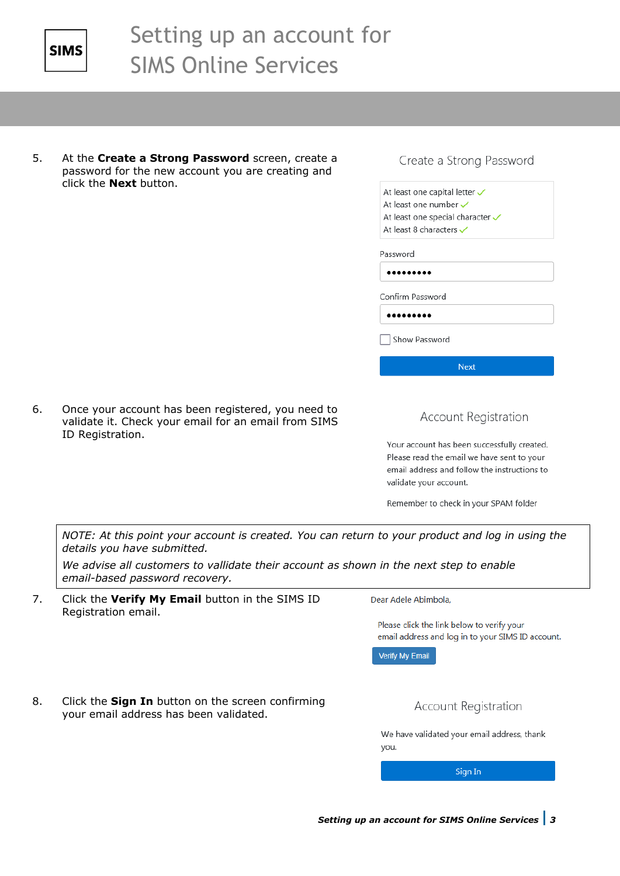

5. At the **Create a Strong Password** screen, create a password for the new account you are creating and click the **Next** button.

#### Create a Strong Password

At least one capital letter  $\checkmark$ At least one number  $\checkmark$ At least one special character  $\checkmark$ At least 8 characters

Password

.........

Confirm Password

.........

Show Password

**Next** 

6. Once your account has been registered, you need to validate it. Check your email for an email from SIMS ID Registration.

#### **Account Registration**

Your account has been successfully created. Please read the email we have sent to your email address and follow the instructions to validate your account.

Remember to check in your SPAM folder

*NOTE: At this point your account is created. You can return to your product and log in using the details you have submitted.* 

*We advise all customers to vallidate their account as shown in the next step to enable email-based password recovery.*

7. Click the **Verify My Email** button in the SIMS ID Registration email.

Dear Adele Abimbola.

Please click the link below to verify your email address and log in to your SIMS ID account.

Verify My Email

8. Click the **Sign In** button on the screen confirming your email address has been validated.

**Account Registration** 

We have validated your email address, thank you.

Sign In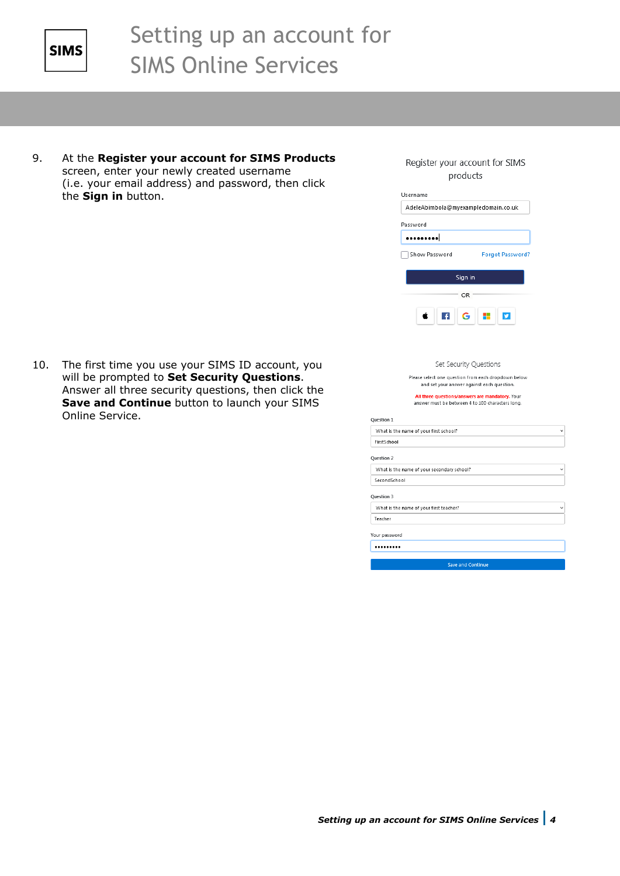

9. At the **Register your account for SIMS Products** screen, enter your newly created username (i.e. your email address) and password, then click the **Sign in** button.

10. The first time you use your SIMS ID account, you will be prompted to **Set Security Questions**. Answer all three security questions, then click the **Save and Continue** button to launch your SIMS Online Service.

Register your account for SIMS products

| AdeleAbimbola@myexampledomain.co.uk<br>Password<br><br>Show Password<br>Forgot Password?<br>Sign in<br>OR.<br>$\left  \cdot \right $<br>Set Security Questions<br>Please select one question from each dropdown below<br>and set your answer against each question.<br>All three questions/answers are mandatory. Your<br>answer must be between 4 to 100 characters long.<br>Question 1<br>What is the name of your first school?<br><b>FirstSchool</b><br>Question 2<br>What is the name of your secondary school?<br>SecondSchool<br>Question 3<br>$\checkmark$ | Username                                |  |
|--------------------------------------------------------------------------------------------------------------------------------------------------------------------------------------------------------------------------------------------------------------------------------------------------------------------------------------------------------------------------------------------------------------------------------------------------------------------------------------------------------------------------------------------------------------------|-----------------------------------------|--|
|                                                                                                                                                                                                                                                                                                                                                                                                                                                                                                                                                                    |                                         |  |
|                                                                                                                                                                                                                                                                                                                                                                                                                                                                                                                                                                    |                                         |  |
|                                                                                                                                                                                                                                                                                                                                                                                                                                                                                                                                                                    |                                         |  |
|                                                                                                                                                                                                                                                                                                                                                                                                                                                                                                                                                                    |                                         |  |
|                                                                                                                                                                                                                                                                                                                                                                                                                                                                                                                                                                    |                                         |  |
|                                                                                                                                                                                                                                                                                                                                                                                                                                                                                                                                                                    |                                         |  |
|                                                                                                                                                                                                                                                                                                                                                                                                                                                                                                                                                                    |                                         |  |
|                                                                                                                                                                                                                                                                                                                                                                                                                                                                                                                                                                    |                                         |  |
|                                                                                                                                                                                                                                                                                                                                                                                                                                                                                                                                                                    |                                         |  |
|                                                                                                                                                                                                                                                                                                                                                                                                                                                                                                                                                                    |                                         |  |
|                                                                                                                                                                                                                                                                                                                                                                                                                                                                                                                                                                    |                                         |  |
|                                                                                                                                                                                                                                                                                                                                                                                                                                                                                                                                                                    |                                         |  |
|                                                                                                                                                                                                                                                                                                                                                                                                                                                                                                                                                                    |                                         |  |
|                                                                                                                                                                                                                                                                                                                                                                                                                                                                                                                                                                    |                                         |  |
|                                                                                                                                                                                                                                                                                                                                                                                                                                                                                                                                                                    |                                         |  |
|                                                                                                                                                                                                                                                                                                                                                                                                                                                                                                                                                                    |                                         |  |
|                                                                                                                                                                                                                                                                                                                                                                                                                                                                                                                                                                    |                                         |  |
|                                                                                                                                                                                                                                                                                                                                                                                                                                                                                                                                                                    |                                         |  |
|                                                                                                                                                                                                                                                                                                                                                                                                                                                                                                                                                                    |                                         |  |
|                                                                                                                                                                                                                                                                                                                                                                                                                                                                                                                                                                    | What is the name of your first teacher? |  |
| Teacher                                                                                                                                                                                                                                                                                                                                                                                                                                                                                                                                                            |                                         |  |
| Your password                                                                                                                                                                                                                                                                                                                                                                                                                                                                                                                                                      |                                         |  |
|                                                                                                                                                                                                                                                                                                                                                                                                                                                                                                                                                                    |                                         |  |

Save and Continue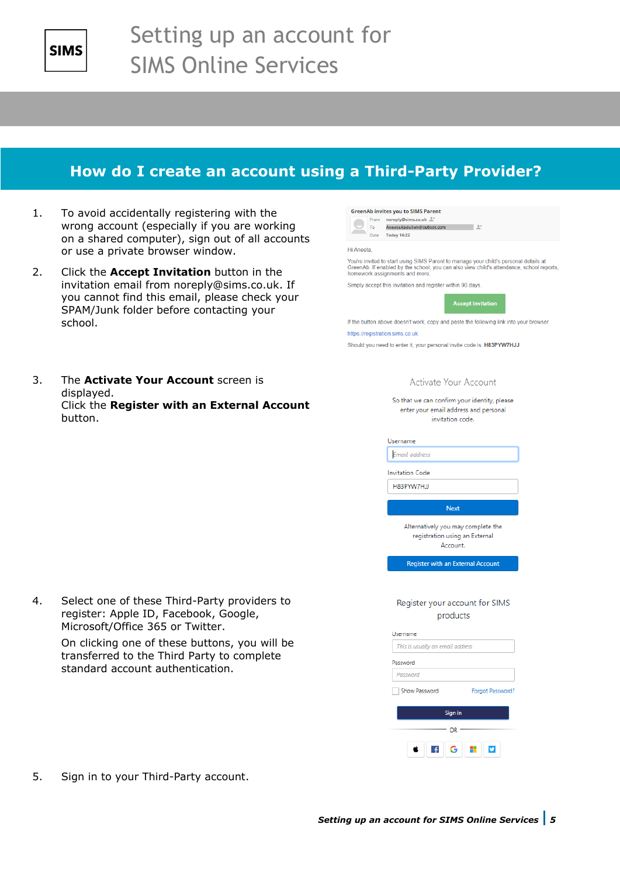

### **How do I create an account using a Third-Party Provider?**

**GreenAb invites you to SIMS Parent** From noreply@sims.co.uk <sup>1+</sup>

- 1. To avoid accidentally registering with the wrong account (especially if you are working on a shared computer), sign out of all accounts or use a private browser window.
- 2. Click the **Accept Invitation** button in the invitation email from noreply@sims.co.uk. If you cannot find this email, please check your SPAM/Junk folder before contacting your school.
- 3. The **Activate Your Account** screen is displayed. Click the **Register with an External Account** button.

| Date                            | <b>Today 14:22</b>                                                                                                                                                                                            |
|---------------------------------|---------------------------------------------------------------------------------------------------------------------------------------------------------------------------------------------------------------|
| Hi Aneeta.                      |                                                                                                                                                                                                               |
|                                 | You're invited to start using SIMS Parent to manage your child's personal details at<br>GreenAb. If enabled by the school, you can also view child's attendance, school rep<br>homework assignments and more. |
|                                 | Simply accept this invitation and register within 90 days.                                                                                                                                                    |
|                                 | <b>Accept Invitation</b>                                                                                                                                                                                      |
|                                 | If the button above doesn't work, copy and paste the following link into your browser.                                                                                                                        |
| https://registration.sims.co.uk |                                                                                                                                                                                                               |
|                                 | Should you need to enter it, your personal invite code is: H83PYW7HJJ                                                                                                                                         |
|                                 | Activate Your Account                                                                                                                                                                                         |
|                                 | So that we can confirm your identity, please                                                                                                                                                                  |
|                                 | enter your email address and personal                                                                                                                                                                         |
|                                 | invitation code.                                                                                                                                                                                              |
|                                 | Username                                                                                                                                                                                                      |
|                                 | Email address                                                                                                                                                                                                 |
|                                 | <b>Invitation Code</b>                                                                                                                                                                                        |
|                                 | H83PYW7HJJ                                                                                                                                                                                                    |
|                                 | <b>Next</b>                                                                                                                                                                                                   |
|                                 | Alternatively you may complete the<br>registration using an External<br>Account.                                                                                                                              |
|                                 | Register with an External Account                                                                                                                                                                             |
|                                 |                                                                                                                                                                                                               |
|                                 | Register your account for SIMS                                                                                                                                                                                |
|                                 | products                                                                                                                                                                                                      |
|                                 | Username                                                                                                                                                                                                      |
|                                 |                                                                                                                                                                                                               |
|                                 | This is usually an email address                                                                                                                                                                              |
|                                 | Password                                                                                                                                                                                                      |
|                                 | Password                                                                                                                                                                                                      |
|                                 | Show Password<br>Forgot Password?                                                                                                                                                                             |
|                                 | Sign in                                                                                                                                                                                                       |
|                                 | OR                                                                                                                                                                                                            |

at<br>reports

4. Select one of these Third-Party providers to register: Apple ID, Facebook, Google, Microsoft/Office 365 or Twitter.

> On clicking one of these buttons, you will be transferred to the Third Party to complete standard account authentication.

5. Sign in to your Third-Party account.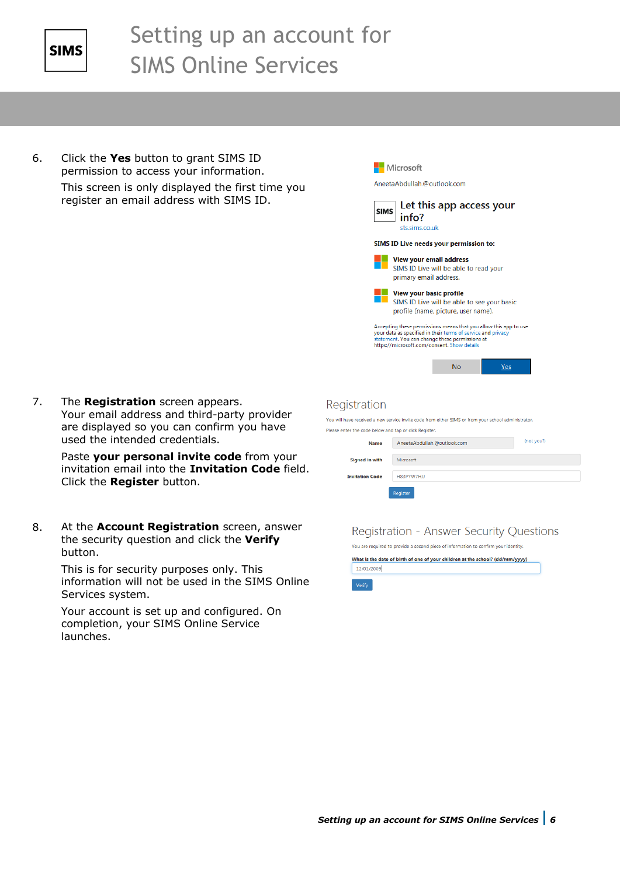

6. Click the **Yes** button to grant SIMS ID permission to access your information.

This screen is only displayed the first time you register an email address with SIMS ID.

Microsoft

AneetaAbdullah.@outlook.com



SIMS ID Live will be able to see your basic

profile (name, picture, user name).  $\begin{array}{l} \textbf{Accepting these permissions means that you allow this app to use}\\ \textbf{your data as specified in their terms of service and privacy states.} \end{array} \begin{array}{l} \textbf{where } \textbf{H} \textbf{c} \textbf{end} \end{array} \begin{array}{l} \textbf{where } \textbf{H} \textbf{c} \textbf{end} \end{array} \begin{array}{l} \textbf{where } \textbf{H} \textbf{c} \textbf{end} \end{array} \begin{array}{l} \textbf{where } \textbf{H} \textbf{c} \textbf{end} \end{array} \begin{array}{l} \textbf{there exists} \\ \textbf{H} \textbf{t} \text$ 

 $N<sub>0</sub>$ 

Yes

### Registration

Please e

You will have received a new service invite code from either SIMS or from your school administrator

|                        | nter the code below and tap or click Register. |            |  |  |
|------------------------|------------------------------------------------|------------|--|--|
| <b>Name</b>            | AneetaAbdullah.@outlook.com                    | (not you?) |  |  |
|                        |                                                |            |  |  |
| <b>Signed in with</b>  | Microsoft                                      |            |  |  |
|                        |                                                |            |  |  |
| <b>Invitation Code</b> | H83PYW7HJJ                                     |            |  |  |
|                        |                                                |            |  |  |
|                        | Register                                       |            |  |  |
|                        |                                                |            |  |  |

### **Registration - Answer Security Ouestions**

You are required to provide a second piece of information to confirm your identity What is the date of birth of one of your children at the school? (dd/mm/yyyy) 12/01/2009

7. The **Registration** screen appears. Your email address and third-party provider are displayed so you can confirm you have used the intended credentials.

> Paste **your personal invite code** from your invitation email into the **Invitation Code** field. Click the **Register** button.

8. At the **Account Registration** screen, answer the security question and click the **Verify**  button.

> This is for security purposes only. This information will not be used in the SIMS Online Services system.

Your account is set up and configured. On completion, your SIMS Online Service launches.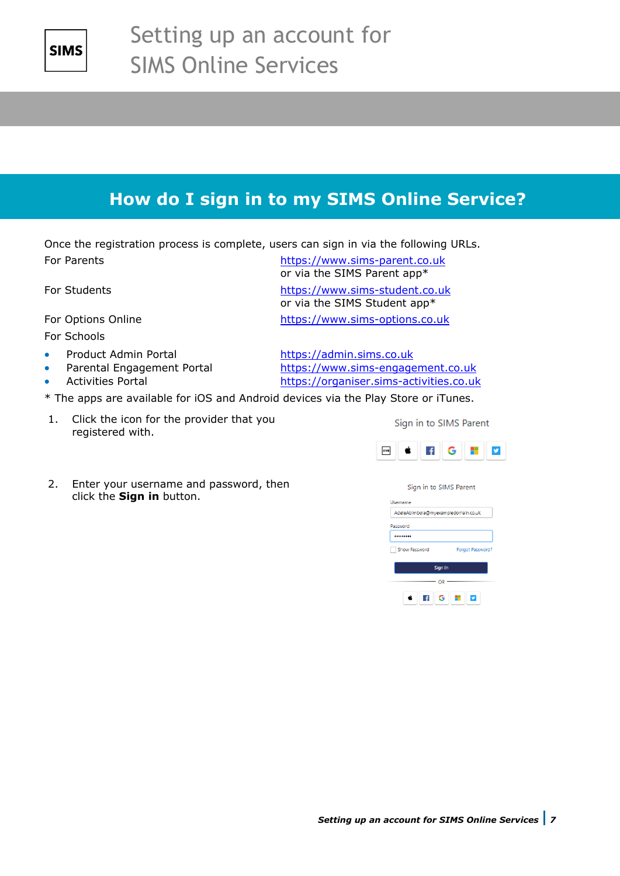

## **How do I sign in to my SIMS Online Service?**

Once the registration process is complete, users can sign in via the following URLs. For Parents **[https://www.sims-parent.co.uk](https://www.sims-parent.co.uk/)** 

For Schools

- 
- 
- 

or via the SIMS Parent app\*

For Students [https://www.sims-student.co.uk](https://www.sims-student.co.uk/) or via the SIMS Student app\*

For Options Online [https://www.sims-options.co.uk](https://www.sims-options.co.uk/)

Product Admin Portal [https://admin.sims.co.uk](https://admin.sims.co.uk/) • Parental Engagement Portal [https://www.sims-engagement.co.uk](https://www.sims-engagement.co.uk/) • Activities Portal [https://organiser.sims-activities.co.uk](https://organiser.sims-activities.co.uk/)

- \* The apps are available for iOS and Android devices via the Play Store or iTunes.
- 1. Click the icon for the provider that you registered with.
- **FIGHT SIMS** É
- 2. Enter your username and password, then click the **Sign in** button.

#### Sign in to SIMS Parent

Sign in to SIMS Parent